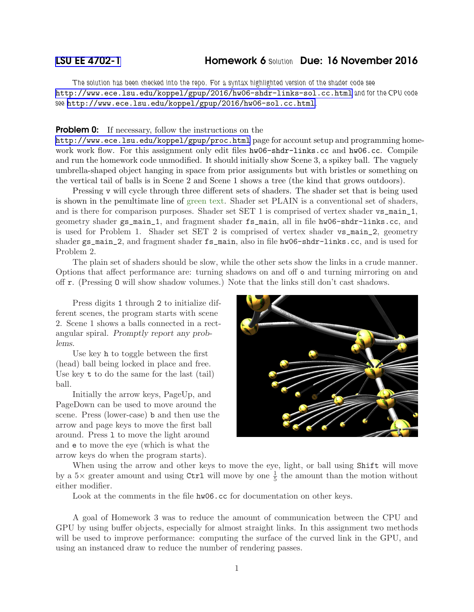## [LSU EE 4702-1](http://www.ece.lsu.edu/koppel/gpup/) Homework 6 Solution Due: 16 November 2016

The solution has been checked into the repo. For a syntax highlighted version of the shader code see <http://www.ece.lsu.edu/koppel/gpup/2016/hw06-shdr-links-sol.cc.html> and for the CPU code see <http://www.ece.lsu.edu/koppel/gpup/2016/hw06-sol.cc.html>.

## **Problem 0:** If necessary, follow the instructions on the

<http://www.ece.lsu.edu/koppel/gpup/proc.html> page for account setup and programming homework work flow. For this assignment only edit files  $hw06$ -shdr-links.cc and  $hw06$ -cc. Compile and run the homework code unmodified. It should initially show Scene 3, a spikey ball. The vaguely umbrella-shaped object hanging in space from prior assignments but with bristles or something on the vertical tail of balls is in Scene 2 and Scene 1 shows a tree (the kind that grows outdoors).

Pressing v will cycle through three different sets of shaders. The shader set that is being used is shown in the penultimate line of green text. Shader set PLAIN is a conventional set of shaders, and is there for comparison purposes. Shader set SET 1 is comprised of vertex shader  $vs\_main\_1$ , geometry shader gs\_main\_1, and fragment shader fs\_main, all in file hw06-shdr-links.cc, and is used for Problem 1. Shader set SET 2 is comprised of vertex shader vs\_main\_2, geometry shader gs\_main\_2, and fragment shader fs\_main, also in file hw06-shdr-links.cc, and is used for Problem 2.

The plain set of shaders should be slow, while the other sets show the links in a crude manner. Options that affect performance are: turning shadows on and off o and turning mirroring on and off r. (Pressing O will show shadow volumes.) Note that the links still don't cast shadows.

Press digits 1 through 2 to initialize different scenes, the program starts with scene 2. Scene 1 shows a balls connected in a rectangular spiral. Promptly report any problems.

Use key h to toggle between the first (head) ball being locked in place and free. Use key t to do the same for the last (tail) ball.

Initially the arrow keys, PageUp, and PageDown can be used to move around the scene. Press (lower-case) b and then use the arrow and page keys to move the first ball around. Press l to move the light around and e to move the eye (which is what the arrow keys do when the program starts).



When using the arrow and other keys to move the eye, light, or ball using Shift will move by a  $5\times$  greater amount and using Ctrl will move by one  $\frac{1}{5}$  the amount than the motion without either modifier.

Look at the comments in the file  $hw06$ .cc for documentation on other keys.

A goal of Homework 3 was to reduce the amount of communication between the CPU and GPU by using buffer objects, especially for almost straight links. In this assignment two methods will be used to improve performance: computing the surface of the curved link in the GPU, and using an instanced draw to reduce the number of rendering passes.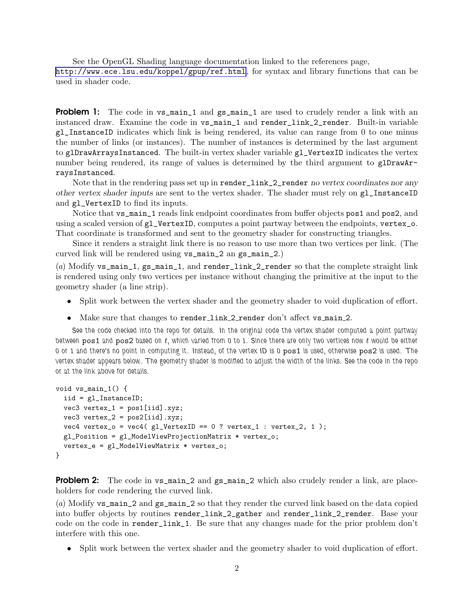See the OpenGL Shading language documentation linked to the references page, <http://www.ece.lsu.edu/koppel/gpup/ref.html>, for syntax and library functions that can be used in shader code.

**Problem 1:** The code in  $vs\_main\_1$  and  $gs\_main\_1$  are used to crudely render a link with an instanced draw. Examine the code in vs\_main\_1 and render\_link\_2\_render. Built-in variable gl\_InstanceID indicates which link is being rendered, its value can range from 0 to one minus the number of links (or instances). The number of instances is determined by the last argument to glDrawArraysInstanced. The built-in vertex shader variable gl\_VertexID indicates the vertex number being rendered, its range of values is determined by the third argument to glDrawArraysInstanced.

Note that in the rendering pass set up in render\_link\_2\_render no vertex coordinates nor any other vertex shader inputs are sent to the vertex shader. The shader must rely on gl\_InstanceID and gl\_VertexID to find its inputs.

Notice that  $vs\_main\_1$  reads link endpoint coordinates from buffer objects pos1 and pos2, and using a scaled version of gl\_VertexID, computes a point partway between the endpoints, vertex\_o. That coordinate is transformed and sent to the geometry shader for constructing triangles.

Since it renders a straight link there is no reason to use more than two vertices per link. (The curved link will be rendered using vs\_main\_2 an gs\_main\_2.)

(a) Modify  $vs\_main_1$ ,  $gs\_main_1$ , and render $\_link_2$ -render so that the complete straight link is rendered using only two vertices per instance without changing the primitive at the input to the geometry shader (a line strip).

- Split work between the vertex shader and the geometry shader to void duplication of effort.
- Make sure that changes to render link 2 render don't affect vs main 2.

See the code checked into the repo for details. In the original code the vertex shader computed a point partway between pos1 and pos2 based on  $t$ , which varied from 0 to 1. Since there are only two vertices now  $t$  would be either 0 or 1 and there's no point in computing it. Instead, of the vertex ID is 0 pos1 is used, otherwise pos2 is used. The vertex shader appears below. The geometry shader is modified to adjust the width of the links. See the code in the repo or at the link above for details.

```
void vs_main_1() {
 iid = gl_InstanceID;
  vec3 vertex_1 = pos1[iid].xyz;
  vec3 vertex_2 = pos2[iid].xyz;vec4 vertex_o = vec4(gl\_VertexID == 0 ? vertex_1 : vertex_2, 1);
  gl_Position = gl_ModelViewProjectionMatrix * vertex_o;
  vertex_e = gl_ModelViewMatrix * vertex_o;
}
```
**Problem 2:** The code in  $vs\_main_2$  and  $gs\_main_2$  which also crudely render a link, are placeholders for code rendering the curved link.

(a) Modify vs\_main\_2 and gs\_main\_2 so that they render the curved link based on the data copied into buffer objects by routines render\_link\_2\_gather and render\_link\_2\_render. Base your code on the code in render\_link\_1. Be sure that any changes made for the prior problem don't interfere with this one.

• Split work between the vertex shader and the geometry shader to void duplication of effort.